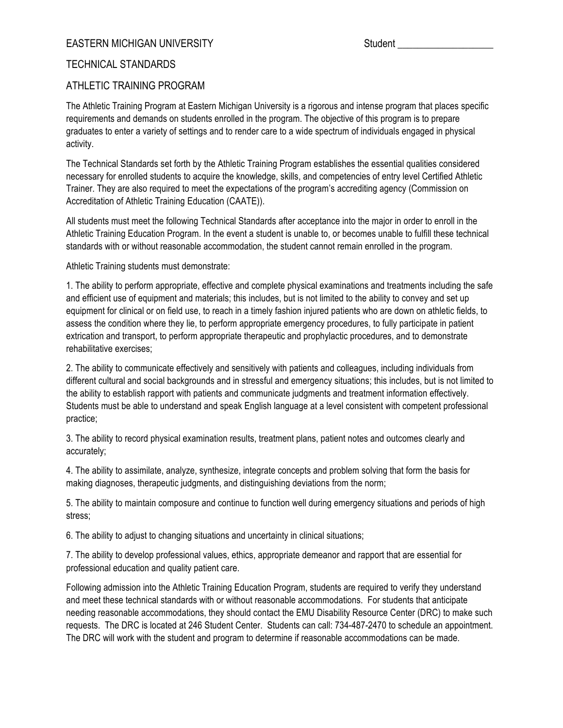## EASTERN MICHIGAN UNIVERSITY Student and Student Student Student

## TECHNICAL STANDARDS

## ATHLETIC TRAINING PROGRAM

The Athletic Training Program at Eastern Michigan University is a rigorous and intense program that places specific requirements and demands on students enrolled in the program. The objective of this program is to prepare graduates to enter a variety of settings and to render care to a wide spectrum of individuals engaged in physical activity.

The Technical Standards set forth by the Athletic Training Program establishes the essential qualities considered necessary for enrolled students to acquire the knowledge, skills, and competencies of entry level Certified Athletic Trainer. They are also required to meet the expectations of the program's accrediting agency (Commission on Accreditation of Athletic Training Education (CAATE)).

All students must meet the following Technical Standards after acceptance into the major in order to enroll in the Athletic Training Education Program. In the event a student is unable to, or becomes unable to fulfill these technical standards with or without reasonable accommodation, the student cannot remain enrolled in the program.

Athletic Training students must demonstrate:

1. The ability to perform appropriate, effective and complete physical examinations and treatments including the safe and efficient use of equipment and materials; this includes, but is not limited to the ability to convey and set up equipment for clinical or on field use, to reach in a timely fashion injured patients who are down on athletic fields, to assess the condition where they lie, to perform appropriate emergency procedures, to fully participate in patient extrication and transport, to perform appropriate therapeutic and prophylactic procedures, and to demonstrate rehabilitative exercises;

2. The ability to communicate effectively and sensitively with patients and colleagues, including individuals from different cultural and social backgrounds and in stressful and emergency situations; this includes, but is not limited to the ability to establish rapport with patients and communicate judgments and treatment information effectively. Students must be able to understand and speak English language at a level consistent with competent professional practice;

3. The ability to record physical examination results, treatment plans, patient notes and outcomes clearly and accurately;

4. The ability to assimilate, analyze, synthesize, integrate concepts and problem solving that form the basis for making diagnoses, therapeutic judgments, and distinguishing deviations from the norm;

5. The ability to maintain composure and continue to function well during emergency situations and periods of high stress;

6. The ability to adjust to changing situations and uncertainty in clinical situations;

7. The ability to develop professional values, ethics, appropriate demeanor and rapport that are essential for professional education and quality patient care.

Following admission into the Athletic Training Education Program, students are required to verify they understand and meet these technical standards with or without reasonable accommodations. For students that anticipate needing reasonable accommodations, they should contact the EMU Disability Resource Center (DRC) to make such requests. The DRC is located at 246 Student Center. Students can call: 734-487-2470 to schedule an appointment. The DRC will work with the student and program to determine if reasonable accommodations can be made.